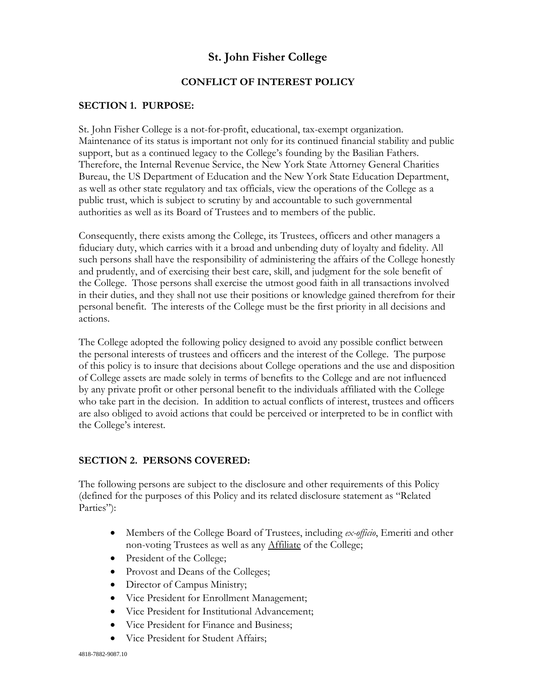# **St. John Fisher College**

# **CONFLICT OF INTEREST POLICY**

#### **SECTION 1. PURPOSE:**

St. John Fisher College is a not-for-profit, educational, tax-exempt organization. Maintenance of its status is important not only for its continued financial stability and public support, but as a continued legacy to the College's founding by the Basilian Fathers. Therefore, the Internal Revenue Service, the New York State Attorney General Charities Bureau, the US Department of Education and the New York State Education Department, as well as other state regulatory and tax officials, view the operations of the College as a public trust, which is subject to scrutiny by and accountable to such governmental authorities as well as its Board of Trustees and to members of the public.

Consequently, there exists among the College, its Trustees, officers and other managers a fiduciary duty, which carries with it a broad and unbending duty of loyalty and fidelity. All such persons shall have the responsibility of administering the affairs of the College honestly and prudently, and of exercising their best care, skill, and judgment for the sole benefit of the College. Those persons shall exercise the utmost good faith in all transactions involved in their duties, and they shall not use their positions or knowledge gained therefrom for their personal benefit. The interests of the College must be the first priority in all decisions and actions.

The College adopted the following policy designed to avoid any possible conflict between the personal interests of trustees and officers and the interest of the College. The purpose of this policy is to insure that decisions about College operations and the use and disposition of College assets are made solely in terms of benefits to the College and are not influenced by any private profit or other personal benefit to the individuals affiliated with the College who take part in the decision. In addition to actual conflicts of interest, trustees and officers are also obliged to avoid actions that could be perceived or interpreted to be in conflict with the College's interest.

# **SECTION 2. PERSONS COVERED:**

The following persons are subject to the disclosure and other requirements of this Policy (defined for the purposes of this Policy and its related disclosure statement as "Related Parties":

- Members of the College Board of Trustees, including *ex-officio*, Emeriti and other non-voting Trustees as well as any Affiliate of the College;
- President of the College;
- Provost and Deans of the Colleges;
- Director of Campus Ministry;
- Vice President for Enrollment Management;
- Vice President for Institutional Advancement;
- Vice President for Finance and Business;
- Vice President for Student Affairs: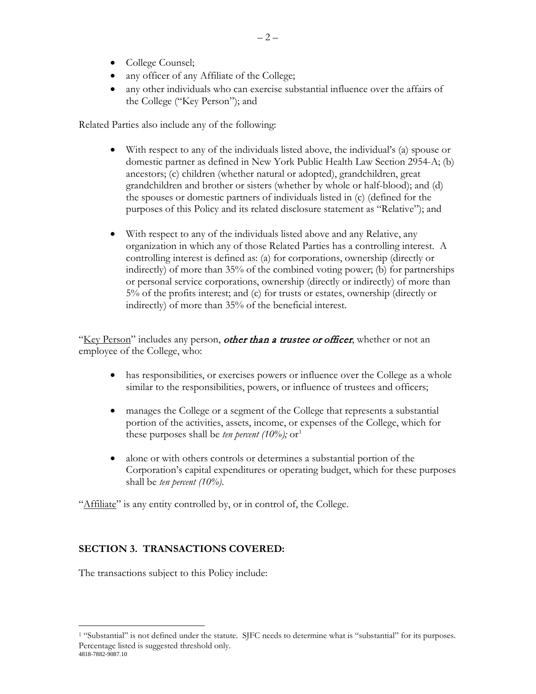- College Counsel;
- any officer of any Affiliate of the College;
- any other individuals who can exercise substantial influence over the affairs of the College ("Key Person"); and

Related Parties also include any of the following:

- With respect to any of the individuals listed above, the individual's (a) spouse or domestic partner as defined in New York Public Health Law Section 2954-A; (b) ancestors; (c) children (whether natural or adopted), grandchildren, great grandchildren and brother or sisters (whether by whole or half-blood); and (d) the spouses or domestic partners of individuals listed in (c) (defined for the purposes of this Policy and its related disclosure statement as "Relative"); and
- With respect to any of the individuals listed above and any Relative, any organization in which any of those Related Parties has a controlling interest. A controlling interest is defined as: (a) for corporations, ownership (directly or indirectly) of more than 35% of the combined voting power; (b) for partnerships or personal service corporations, ownership (directly or indirectly) of more than 5% of the profits interest; and (c) for trusts or estates, ownership (directly or indirectly) of more than 35% of the beneficial interest.

"Key Person" includes any person, *other than a trustee or officer*, whether or not an employee of the College, who:

- has responsibilities, or exercises powers or influence over the College as a whole similar to the responsibilities, powers, or influence of trustees and officers;
- manages the College or a segment of the College that represents a substantial portion of the activities, assets, income, or expenses of the College, which for these purposes shall be *ten percent* ([1](#page-1-0)0%); or<sup>1</sup>
- alone or with others controls or determines a substantial portion of the Corporation's capital expenditures or operating budget, which for these purposes shall be *ten percent (10%)*.

"Affiliate" is any entity controlled by, or in control of, the College.

# **SECTION 3. TRANSACTIONS COVERED:**

The transactions subject to this Policy include:

<span id="page-1-0"></span><sup>4818-7882-9087.10</sup> <sup>1</sup> "Substantial" is not defined under the statute. SJFC needs to determine what is "substantial" for its purposes. Percentage listed is suggested threshold only.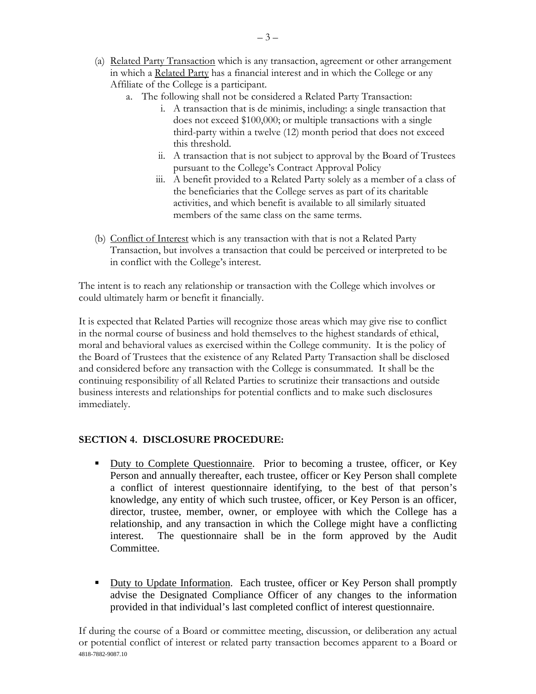- (a) Related Party Transaction which is any transaction, agreement or other arrangement in which a Related Party has a financial interest and in which the College or any Affiliate of the College is a participant.
	- a. The following shall not be considered a Related Party Transaction:
		- i. A transaction that is de minimis, including: a single transaction that does not exceed \$100,000; or multiple transactions with a single third-party within a twelve (12) month period that does not exceed this threshold.
		- ii. A transaction that is not subject to approval by the Board of Trustees pursuant to the College's Contract Approval Policy
		- iii. A benefit provided to a Related Party solely as a member of a class of the beneficiaries that the College serves as part of its charitable activities, and which benefit is available to all similarly situated members of the same class on the same terms.
- (b) Conflict of Interest which is any transaction with that is not a Related Party Transaction, but involves a transaction that could be perceived or interpreted to be in conflict with the College's interest.

The intent is to reach any relationship or transaction with the College which involves or could ultimately harm or benefit it financially.

It is expected that Related Parties will recognize those areas which may give rise to conflict in the normal course of business and hold themselves to the highest standards of ethical, moral and behavioral values as exercised within the College community. It is the policy of the Board of Trustees that the existence of any Related Party Transaction shall be disclosed and considered before any transaction with the College is consummated. It shall be the continuing responsibility of all Related Parties to scrutinize their transactions and outside business interests and relationships for potential conflicts and to make such disclosures immediately.

# **SECTION 4. DISCLOSURE PROCEDURE:**

- Duty to Complete Questionnaire. Prior to becoming a trustee, officer, or Key Person and annually thereafter, each trustee, officer or Key Person shall complete a conflict of interest questionnaire identifying, to the best of that person's knowledge, any entity of which such trustee, officer, or Key Person is an officer, director, trustee, member, owner, or employee with which the College has a relationship, and any transaction in which the College might have a conflicting interest. The questionnaire shall be in the form approved by the Audit Committee.
- Duty to Update Information. Each trustee, officer or Key Person shall promptly advise the Designated Compliance Officer of any changes to the information provided in that individual's last completed conflict of interest questionnaire.

4818-7882-9087.10 If during the course of a Board or committee meeting, discussion, or deliberation any actual or potential conflict of interest or related party transaction becomes apparent to a Board or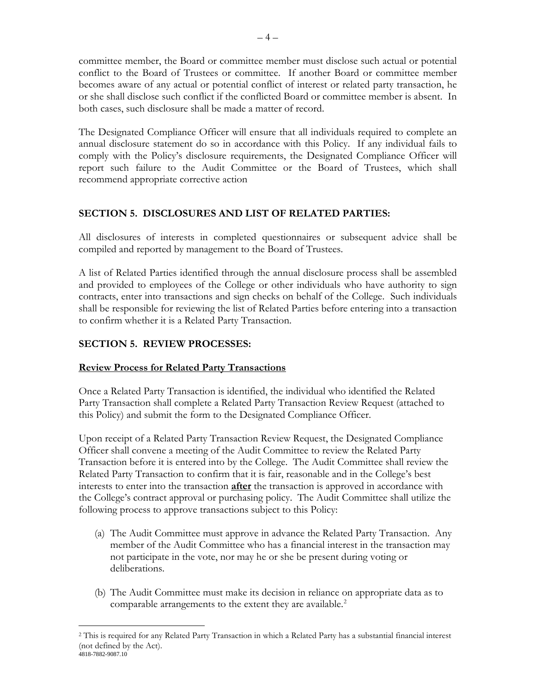committee member, the Board or committee member must disclose such actual or potential conflict to the Board of Trustees or committee. If another Board or committee member becomes aware of any actual or potential conflict of interest or related party transaction, he or she shall disclose such conflict if the conflicted Board or committee member is absent. In both cases, such disclosure shall be made a matter of record.

The Designated Compliance Officer will ensure that all individuals required to complete an annual disclosure statement do so in accordance with this Policy. If any individual fails to comply with the Policy's disclosure requirements, the Designated Compliance Officer will report such failure to the Audit Committee or the Board of Trustees, which shall recommend appropriate corrective action

#### **SECTION 5. DISCLOSURES AND LIST OF RELATED PARTIES:**

All disclosures of interests in completed questionnaires or subsequent advice shall be compiled and reported by management to the Board of Trustees.

A list of Related Parties identified through the annual disclosure process shall be assembled and provided to employees of the College or other individuals who have authority to sign contracts, enter into transactions and sign checks on behalf of the College. Such individuals shall be responsible for reviewing the list of Related Parties before entering into a transaction to confirm whether it is a Related Party Transaction.

# **SECTION 5. REVIEW PROCESSES:**

# **Review Process for Related Party Transactions**

Once a Related Party Transaction is identified, the individual who identified the Related Party Transaction shall complete a Related Party Transaction Review Request (attached to this Policy) and submit the form to the Designated Compliance Officer.

Upon receipt of a Related Party Transaction Review Request, the Designated Compliance Officer shall convene a meeting of the Audit Committee to review the Related Party Transaction before it is entered into by the College. The Audit Committee shall review the Related Party Transaction to confirm that it is fair, reasonable and in the College's best interests to enter into the transaction **after** the transaction is approved in accordance with the College's contract approval or purchasing policy. The Audit Committee shall utilize the following process to approve transactions subject to this Policy:

- (a) The Audit Committee must approve in advance the Related Party Transaction. Any member of the Audit Committee who has a financial interest in the transaction may not participate in the vote, nor may he or she be present during voting or deliberations.
- (b) The Audit Committee must make its decision in reliance on appropriate data as to comparable arrangements to the extent they are available.<sup>[2](#page-3-0)</sup>

<span id="page-3-0"></span><sup>4818-7882-9087.10</sup> 2 This is required for any Related Party Transaction in which a Related Party has a substantial financial interest (not defined by the Act).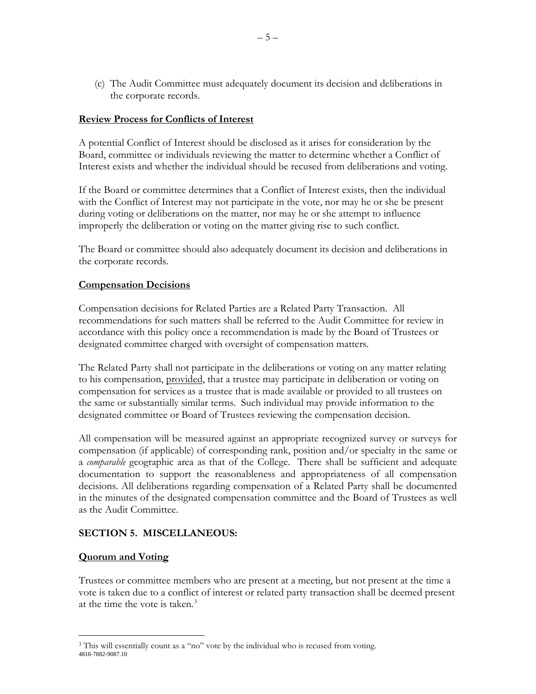(c) The Audit Committee must adequately document its decision and deliberations in the corporate records.

#### **Review Process for Conflicts of Interest**

A potential Conflict of Interest should be disclosed as it arises for consideration by the Board, committee or individuals reviewing the matter to determine whether a Conflict of Interest exists and whether the individual should be recused from deliberations and voting.

If the Board or committee determines that a Conflict of Interest exists, then the individual with the Conflict of Interest may not participate in the vote, nor may he or she be present during voting or deliberations on the matter, nor may he or she attempt to influence improperly the deliberation or voting on the matter giving rise to such conflict.

The Board or committee should also adequately document its decision and deliberations in the corporate records.

#### **Compensation Decisions**

Compensation decisions for Related Parties are a Related Party Transaction. All recommendations for such matters shall be referred to the Audit Committee for review in accordance with this policy once a recommendation is made by the Board of Trustees or designated committee charged with oversight of compensation matters.

The Related Party shall not participate in the deliberations or voting on any matter relating to his compensation, provided, that a trustee may participate in deliberation or voting on compensation for services as a trustee that is made available or provided to all trustees on the same or substantially similar terms. Such individual may provide information to the designated committee or Board of Trustees reviewing the compensation decision.

All compensation will be measured against an appropriate recognized survey or surveys for compensation (if applicable) of corresponding rank, position and/or specialty in the same or a *comparable* geographic area as that of the College. There shall be sufficient and adequate documentation to support the reasonableness and appropriateness of all compensation decisions. All deliberations regarding compensation of a Related Party shall be documented in the minutes of the designated compensation committee and the Board of Trustees as well as the Audit Committee.

#### **SECTION 5. MISCELLANEOUS:**

#### **Quorum and Voting**

Trustees or committee members who are present at a meeting, but not present at the time a vote is taken due to a conflict of interest or related party transaction shall be deemed present at the time the vote is taken. $3$ 

<span id="page-4-0"></span><sup>4818-7882-9087.10</sup> <sup>3</sup> This will essentially count as a "no" vote by the individual who is recused from voting.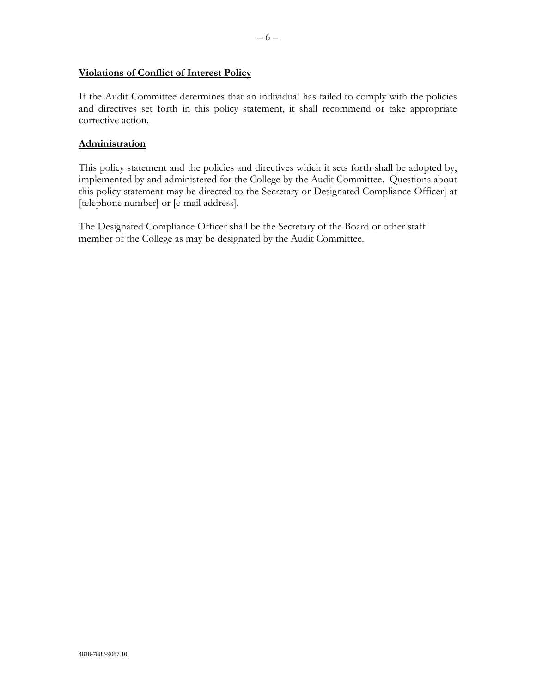# **Violations of Conflict of Interest Policy**

If the Audit Committee determines that an individual has failed to comply with the policies and directives set forth in this policy statement, it shall recommend or take appropriate corrective action.

#### **Administration**

This policy statement and the policies and directives which it sets forth shall be adopted by, implemented by and administered for the College by the Audit Committee. Questions about this policy statement may be directed to the Secretary or Designated Compliance Officer] at [telephone number] or [e-mail address].

The Designated Compliance Officer shall be the Secretary of the Board or other staff member of the College as may be designated by the Audit Committee.